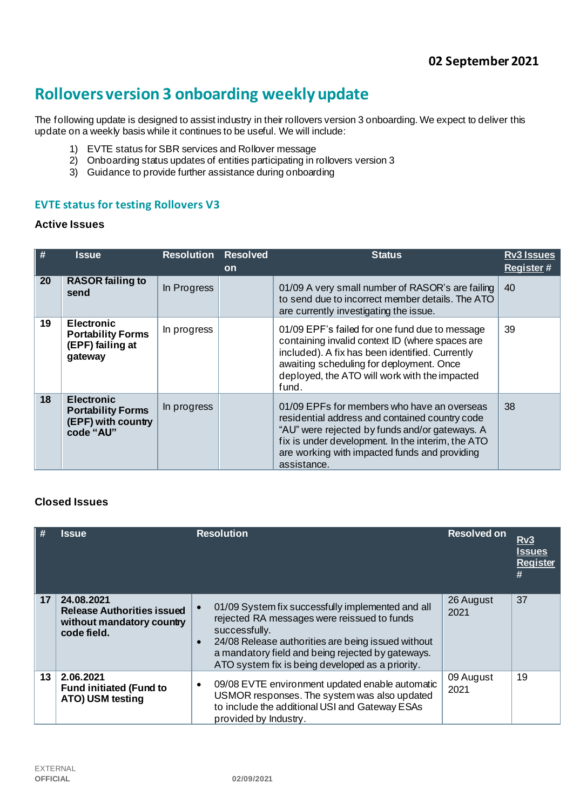# **Rollovers version 3 onboarding weekly update**

The following update is designed to assist industry in their rollovers version 3 onboarding. We expect to deliver this update on a weekly basis while it continues to be useful. We will include:

- 1) EVTE status for SBR services and Rollover message
- 2) Onboarding status updates of entities participating in rollovers version 3
- 3) Guidance to provide further assistance during onboarding

## **EVTE status for testing Rollovers V3**

#### **Active Issues**

| #  | <b>Issue</b>                                                                     | <b>Resolution Resolved</b> |           | <b>Status</b>                                                                                                                                                                                                                                                        | <b>Rv3 Issues</b> |
|----|----------------------------------------------------------------------------------|----------------------------|-----------|----------------------------------------------------------------------------------------------------------------------------------------------------------------------------------------------------------------------------------------------------------------------|-------------------|
|    |                                                                                  |                            | <b>on</b> |                                                                                                                                                                                                                                                                      | <b>Register#</b>  |
| 20 | <b>RASOR failing to</b><br>send                                                  | In Progress                |           | 01/09 A very small number of RASOR's are failing<br>to send due to incorrect member details. The ATO<br>are currently investigating the issue.                                                                                                                       | 40                |
| 19 | <b>Electronic</b><br><b>Portability Forms</b><br>(EPF) failing at<br>gateway     | In progress                |           | 01/09 EPF's failed for one fund due to message<br>containing invalid context ID (where spaces are<br>included). A fix has been identified. Currently<br>awaiting scheduling for deployment. Once<br>deployed, the ATO will work with the impacted<br>fund.           | 39                |
| 18 | <b>Electronic</b><br><b>Portability Forms</b><br>(EPF) with country<br>code "AU" | In progress                |           | 01/09 EPFs for members who have an overseas<br>residential address and contained country code<br>"AU" were rejected by funds and/or gateways. A<br>fix is under development. In the interim, the ATO<br>are working with impacted funds and providing<br>assistance. | 38                |

# **Closed Issues**

| $\parallel$ # | <b>Issue</b>                                                                                | <b>Resolution</b>                                                                                                                                                                                                                                                                             | <b>Resolved on</b> | Rv3<br><u>Issues</u><br><b>Register</b><br># |
|---------------|---------------------------------------------------------------------------------------------|-----------------------------------------------------------------------------------------------------------------------------------------------------------------------------------------------------------------------------------------------------------------------------------------------|--------------------|----------------------------------------------|
| 17            | 24.08.2021<br><b>Release Authorities issued</b><br>without mandatory country<br>code field. | 01/09 System fix successfully implemented and all<br>rejected RA messages were reissued to funds<br>successfully.<br>24/08 Release authorities are being issued without<br>$\bullet$<br>a mandatory field and being rejected by gateways.<br>ATO system fix is being developed as a priority. | 26 August<br>2021  | 37                                           |
| 13            | 2.06.2021<br><b>Fund initiated (Fund to</b><br>ATO) USM testing                             | 09/08 EVTE environment updated enable automatic<br>$\bullet$<br>USMOR responses. The system was also updated<br>to include the additional USI and Gateway ESAs<br>provided by Industry.                                                                                                       | 09 August<br>2021  | 19                                           |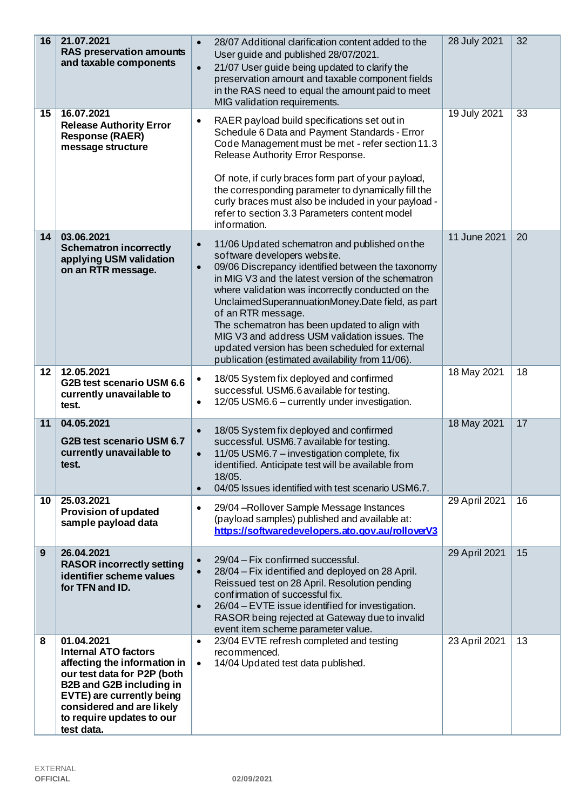| 16              | 21.07.2021<br><b>RAS preservation amounts</b><br>and taxable components                                                                                                                                                                          | 28/07 Additional clarification content added to the<br>$\bullet$<br>User guide and published 28/07/2021.<br>21/07 User guide being updated to clarify the<br>$\bullet$<br>preservation amount and taxable component fields<br>in the RAS need to equal the amount paid to meet<br>MIG validation requirements.                                                                                                                                                                                                                                                | 28 July 2021  | 32 |
|-----------------|--------------------------------------------------------------------------------------------------------------------------------------------------------------------------------------------------------------------------------------------------|---------------------------------------------------------------------------------------------------------------------------------------------------------------------------------------------------------------------------------------------------------------------------------------------------------------------------------------------------------------------------------------------------------------------------------------------------------------------------------------------------------------------------------------------------------------|---------------|----|
| $15\,$          | 16.07.2021<br><b>Release Authority Error</b><br><b>Response (RAER)</b><br>message structure                                                                                                                                                      | RAER payload build specifications set out in<br>$\bullet$<br>Schedule 6 Data and Payment Standards - Error<br>Code Management must be met - refer section 11.3<br>Release Authority Error Response.<br>Of note, if curly braces form part of your payload,<br>the corresponding parameter to dynamically fill the<br>curly braces must also be included in your payload -<br>refer to section 3.3 Parameters content model<br>information.                                                                                                                    | 19 July 2021  | 33 |
| 14              | 03.06.2021<br><b>Schematron incorrectly</b><br>applying USM validation<br>on an RTR message.                                                                                                                                                     | 11/06 Updated schematron and published on the<br>$\bullet$<br>software developers website.<br>09/06 Discrepancy identified between the taxonomy<br>$\bullet$<br>in MIG V3 and the latest version of the schematron<br>where validation was incorrectly conducted on the<br>Unclaimed Superannuation Money. Date field, as part<br>of an RTR message.<br>The schematron has been updated to align with<br>MIG V3 and address USM validation issues. The<br>updated version has been scheduled for external<br>publication (estimated availability from 11/06). | 11 June 2021  | 20 |
| 12 <sub>2</sub> | 12.05.2021<br>G2B test scenario USM 6.6<br>currently unavailable to<br>test.                                                                                                                                                                     | 18/05 System fix deployed and confirmed<br>$\bullet$<br>successful. USM6.6 available for testing.<br>12/05 USM6.6 - currently under investigation.<br>$\bullet$                                                                                                                                                                                                                                                                                                                                                                                               | 18 May 2021   | 18 |
| 11              | 04.05.2021<br>G2B test scenario USM 6.7<br>currently unavailable to<br>test.                                                                                                                                                                     | 18/05 System fix deployed and confirmed<br>$\bullet$<br>successful. USM6.7 available for testing.<br>11/05 USM6.7 - investigation complete, fix<br>$\bullet$<br>identified. Anticipate test will be available from<br>18/05.<br>04/05 Issues identified with test scenario USM6.7.<br>$\bullet$                                                                                                                                                                                                                                                               | 18 May 2021   | 17 |
| 10 <sup>°</sup> | 25.03.2021<br><b>Provision of updated</b><br>sample payload data                                                                                                                                                                                 | 29/04 - Rollover Sample Message Instances<br>$\bullet$<br>(payload samples) published and available at:<br>https://softwaredevelopers.ato.gov.au/rolloverV3                                                                                                                                                                                                                                                                                                                                                                                                   | 29 April 2021 | 16 |
| 9               | 26.04.2021<br><b>RASOR incorrectly setting</b><br>identifier scheme values<br>for TFN and ID.                                                                                                                                                    | 29/04 - Fix confirmed successful.<br>$\bullet$<br>28/04 - Fix identified and deployed on 28 April.<br>$\bullet$<br>Reissued test on 28 April. Resolution pending<br>confirmation of successful fix.<br>26/04 - EVTE issue identified for investigation.<br>$\bullet$<br>RASOR being rejected at Gateway due to invalid<br>event item scheme parameter value.                                                                                                                                                                                                  | 29 April 2021 | 15 |
| 8               | 01.04.2021<br><b>Internal ATO factors</b><br>affecting the information in<br>our test data for P2P (both<br><b>B2B and G2B including in</b><br>EVTE) are currently being<br>considered and are likely<br>to require updates to our<br>test data. | 23/04 EVTE refresh completed and testing<br>$\bullet$<br>recommenced.<br>14/04 Updated test data published.<br>$\bullet$                                                                                                                                                                                                                                                                                                                                                                                                                                      | 23 April 2021 | 13 |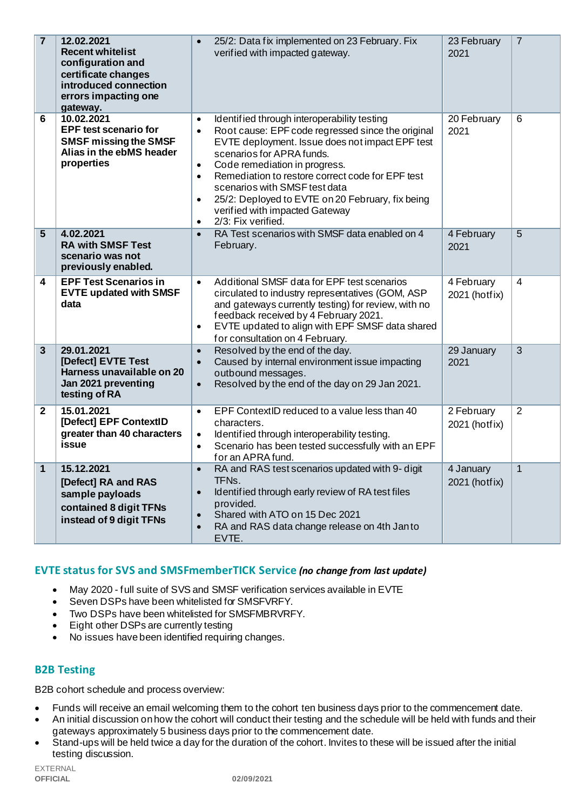| $\overline{7}$          | 12.02.2021<br><b>Recent whitelist</b><br>configuration and<br>certificate changes<br>introduced connection<br>errors impacting one<br>gateway. | 25/2: Data fix implemented on 23 February. Fix<br>$\bullet$<br>verified with impacted gateway.                                                                                                                                                                                                                                                                                                                                                                                                   | 23 February<br>2021         | $\overline{7}$ |
|-------------------------|------------------------------------------------------------------------------------------------------------------------------------------------|--------------------------------------------------------------------------------------------------------------------------------------------------------------------------------------------------------------------------------------------------------------------------------------------------------------------------------------------------------------------------------------------------------------------------------------------------------------------------------------------------|-----------------------------|----------------|
| 6                       | 10.02.2021<br><b>EPF test scenario for</b><br><b>SMSF missing the SMSF</b><br>Alias in the ebMS header<br>properties                           | Identified through interoperability testing<br>$\bullet$<br>Root cause: EPF code regressed since the original<br>$\bullet$<br>EVTE deployment. Issue does not impact EPF test<br>scenarios for APRA funds.<br>Code remediation in progress.<br>$\bullet$<br>Remediation to restore correct code for EPF test<br>$\bullet$<br>scenarios with SMSF test data<br>25/2: Deployed to EVTE on 20 February, fix being<br>$\bullet$<br>verified with impacted Gateway<br>2/3: Fix verified.<br>$\bullet$ | 20 February<br>2021         | 6              |
| $\overline{5}$          | 4.02.2021<br><b>RA with SMSF Test</b><br>scenario was not<br>previously enabled.                                                               | RA Test scenarios with SMSF data enabled on 4<br>$\bullet$<br>February.                                                                                                                                                                                                                                                                                                                                                                                                                          | 4 February<br>2021          | $\overline{5}$ |
| 4                       | <b>EPF Test Scenarios in</b><br><b>EVTE updated with SMSF</b><br>data                                                                          | Additional SMSF data for EPF test scenarios<br>$\bullet$<br>circulated to industry representatives (GOM, ASP<br>and gateways currently testing) for review, with no<br>feedback received by 4 February 2021.<br>EVTE updated to align with EPF SMSF data shared<br>$\bullet$<br>for consultation on 4 February.                                                                                                                                                                                  | 4 February<br>2021 (hotfix) | $\overline{4}$ |
| $\overline{\mathbf{3}}$ | 29.01.2021<br>[Defect] EVTE Test<br>Harness unavailable on 20<br>Jan 2021 preventing<br>testing of RA                                          | Resolved by the end of the day.<br>$\bullet$<br>Caused by internal environment issue impacting<br>$\bullet$<br>outbound messages.<br>Resolved by the end of the day on 29 Jan 2021.<br>$\bullet$                                                                                                                                                                                                                                                                                                 | 29 January<br>2021          | 3              |
| $\mathbf{2}$            | 15.01.2021<br>[Defect] EPF ContextID<br>greater than 40 characters<br>issue                                                                    | EPF ContextID reduced to a value less than 40<br>$\bullet$<br>characters.<br>Identified through interoperability testing.<br>$\bullet$<br>Scenario has been tested successfully with an EPF<br>$\bullet$<br>for an APRA fund.                                                                                                                                                                                                                                                                    | 2 February<br>2021 (hotfix) | 2              |
| 1                       | 15.12.2021<br>[Defect] RA and RAS<br>sample payloads<br>contained 8 digit TFNs<br>instead of 9 digit TFNs                                      | RA and RAS test scenarios updated with 9- digit<br>$\bullet$<br>TFNs.<br>Identified through early review of RA test files<br>$\bullet$<br>provided.<br>Shared with ATO on 15 Dec 2021<br>$\bullet$<br>RA and RAS data change release on 4th Janto<br>$\bullet$<br>EVTE.                                                                                                                                                                                                                          | 4 January<br>2021 (hotfix)  | $\mathbf 1$    |

## **EVTE status for SVS and SMSFmemberTICK Service** *(no change from last update)*

- May 2020 full suite of SVS and SMSF verification services available in EVTE
- Seven DSPs have been whitelisted for SMSFVRFY.
- Two DSPs have been whitelisted for SMSFMBRVRFY.
- Eight other DSPs are currently testing
- No issues have been identified requiring changes.

## **B2B Testing**

B2B cohort schedule and process overview:

- Funds will receive an email welcoming them to the cohort ten business days prior to the commencement date.
- An initial discussion on how the cohort will conduct their testing and the schedule will be held with funds and their gateways approximately 5 business days prior to the commencement date.
- Stand-ups will be held twice a day for the duration of the cohort. Invites to these will be issued after the initial testing discussion.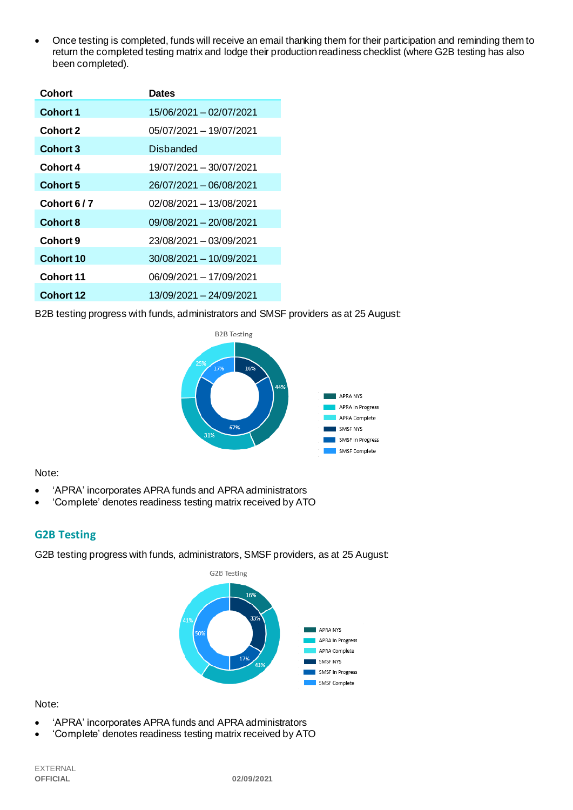• Once testing is completed, funds will receive an email thanking them for their participation and reminding them to return the completed testing matrix and lodge their production readiness checklist (where G2B testing has also been completed).

| Cohort           | <b>Dates</b>            |
|------------------|-------------------------|
| <b>Cohort 1</b>  | 15/06/2021 - 02/07/2021 |
| Cohort 2         | 05/07/2021 - 19/07/2021 |
| <b>Cohort 3</b>  | <b>Disbanded</b>        |
| Cohort 4         | 19/07/2021 - 30/07/2021 |
| Cohort 5         | 26/07/2021 - 06/08/2021 |
| Cohort 6/7       | 02/08/2021 - 13/08/2021 |
| <b>Cohort 8</b>  | 09/08/2021 - 20/08/2021 |
| Cohort 9         | 23/08/2021 - 03/09/2021 |
| <b>Cohort 10</b> | 30/08/2021 - 10/09/2021 |
| Cohort 11        | 06/09/2021 - 17/09/2021 |
| Cohort 12        | 13/09/2021 - 24/09/2021 |

B2B testing progress with funds, administrators and SMSF providers as at 25 August:



#### Note:

- 'APRA' incorporates APRA funds and APRA administrators
- 'Complete' denotes readiness testing matrix received by ATO

# **G2B Testing**

G2B testing progress with funds, administrators, SMSF providers, as at 25 August:



#### Note:

- 'APRA' incorporates APRA funds and APRA administrators
- 'Complete' denotes readiness testing matrix received by ATO